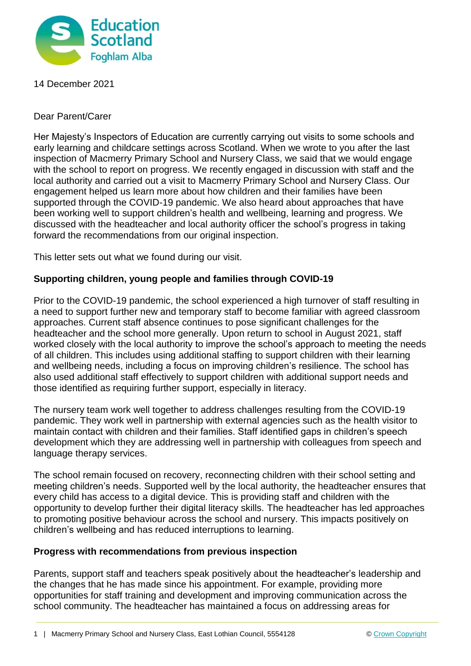

14 December 2021

Dear Parent/Carer

Her Majesty's Inspectors of Education are currently carrying out visits to some schools and early learning and childcare settings across Scotland. When we wrote to you after the last inspection of Macmerry Primary School and Nursery Class, we said that we would engage with the school to report on progress. We recently engaged in discussion with staff and the local authority and carried out a visit to Macmerry Primary School and Nursery Class. Our engagement helped us learn more about how children and their families have been supported through the COVID-19 pandemic. We also heard about approaches that have been working well to support children's health and wellbeing, learning and progress. We discussed with the headteacher and local authority officer the school's progress in taking forward the recommendations from our original inspection.

This letter sets out what we found during our visit.

## **Supporting children, young people and families through COVID-19**

Prior to the COVID-19 pandemic, the school experienced a high turnover of staff resulting in a need to support further new and temporary staff to become familiar with agreed classroom approaches. Current staff absence continues to pose significant challenges for the headteacher and the school more generally. Upon return to school in August 2021, staff worked closely with the local authority to improve the school's approach to meeting the needs of all children. This includes using additional staffing to support children with their learning and wellbeing needs, including a focus on improving children's resilience. The school has also used additional staff effectively to support children with additional support needs and those identified as requiring further support, especially in literacy.

The nursery team work well together to address challenges resulting from the COVID-19 pandemic. They work well in partnership with external agencies such as the health visitor to maintain contact with children and their families. Staff identified gaps in children's speech development which they are addressing well in partnership with colleagues from speech and language therapy services.

The school remain focused on recovery, reconnecting children with their school setting and meeting children's needs. Supported well by the local authority, the headteacher ensures that every child has access to a digital device. This is providing staff and children with the opportunity to develop further their digital literacy skills. The headteacher has led approaches to promoting positive behaviour across the school and nursery. This impacts positively on children's wellbeing and has reduced interruptions to learning.

## **Progress with recommendations from previous inspection**

Parents, support staff and teachers speak positively about the headteacher's leadership and the changes that he has made since his appointment. For example, providing more opportunities for staff training and development and improving communication across the school community. The headteacher has maintained a focus on addressing areas for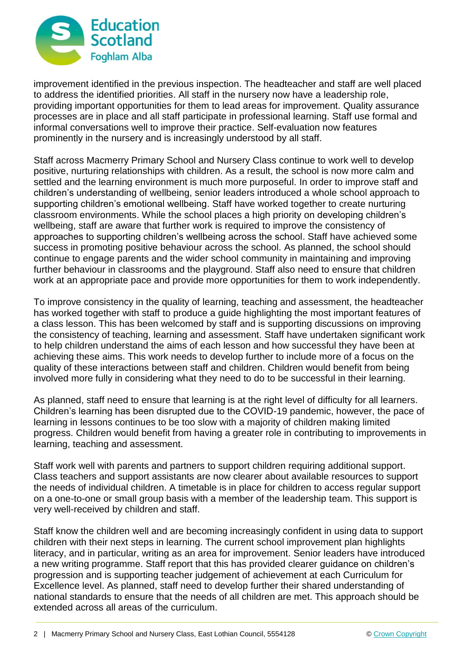

improvement identified in the previous inspection. The headteacher and staff are well placed to address the identified priorities. All staff in the nursery now have a leadership role, providing important opportunities for them to lead areas for improvement. Quality assurance processes are in place and all staff participate in professional learning. Staff use formal and informal conversations well to improve their practice. Self-evaluation now features prominently in the nursery and is increasingly understood by all staff.

Staff across Macmerry Primary School and Nursery Class continue to work well to develop positive, nurturing relationships with children. As a result, the school is now more calm and settled and the learning environment is much more purposeful. In order to improve staff and children's understanding of wellbeing, senior leaders introduced a whole school approach to supporting children's emotional wellbeing. Staff have worked together to create nurturing classroom environments. While the school places a high priority on developing children's wellbeing, staff are aware that further work is required to improve the consistency of approaches to supporting children's wellbeing across the school. Staff have achieved some success in promoting positive behaviour across the school. As planned, the school should continue to engage parents and the wider school community in maintaining and improving further behaviour in classrooms and the playground. Staff also need to ensure that children work at an appropriate pace and provide more opportunities for them to work independently.

To improve consistency in the quality of learning, teaching and assessment, the headteacher has worked together with staff to produce a guide highlighting the most important features of a class lesson. This has been welcomed by staff and is supporting discussions on improving the consistency of teaching, learning and assessment. Staff have undertaken significant work to help children understand the aims of each lesson and how successful they have been at achieving these aims. This work needs to develop further to include more of a focus on the quality of these interactions between staff and children. Children would benefit from being involved more fully in considering what they need to do to be successful in their learning.

As planned, staff need to ensure that learning is at the right level of difficulty for all learners. Children's learning has been disrupted due to the COVID-19 pandemic, however, the pace of learning in lessons continues to be too slow with a majority of children making limited progress. Children would benefit from having a greater role in contributing to improvements in learning, teaching and assessment.

Staff work well with parents and partners to support children requiring additional support. Class teachers and support assistants are now clearer about available resources to support the needs of individual children. A timetable is in place for children to access regular support on a one-to-one or small group basis with a member of the leadership team. This support is very well-received by children and staff.

Staff know the children well and are becoming increasingly confident in using data to support children with their next steps in learning. The current school improvement plan highlights literacy, and in particular, writing as an area for improvement. Senior leaders have introduced a new writing programme. Staff report that this has provided clearer guidance on children's progression and is supporting teacher judgement of achievement at each Curriculum for Excellence level. As planned, staff need to develop further their shared understanding of national standards to ensure that the needs of all children are met. This approach should be extended across all areas of the curriculum.